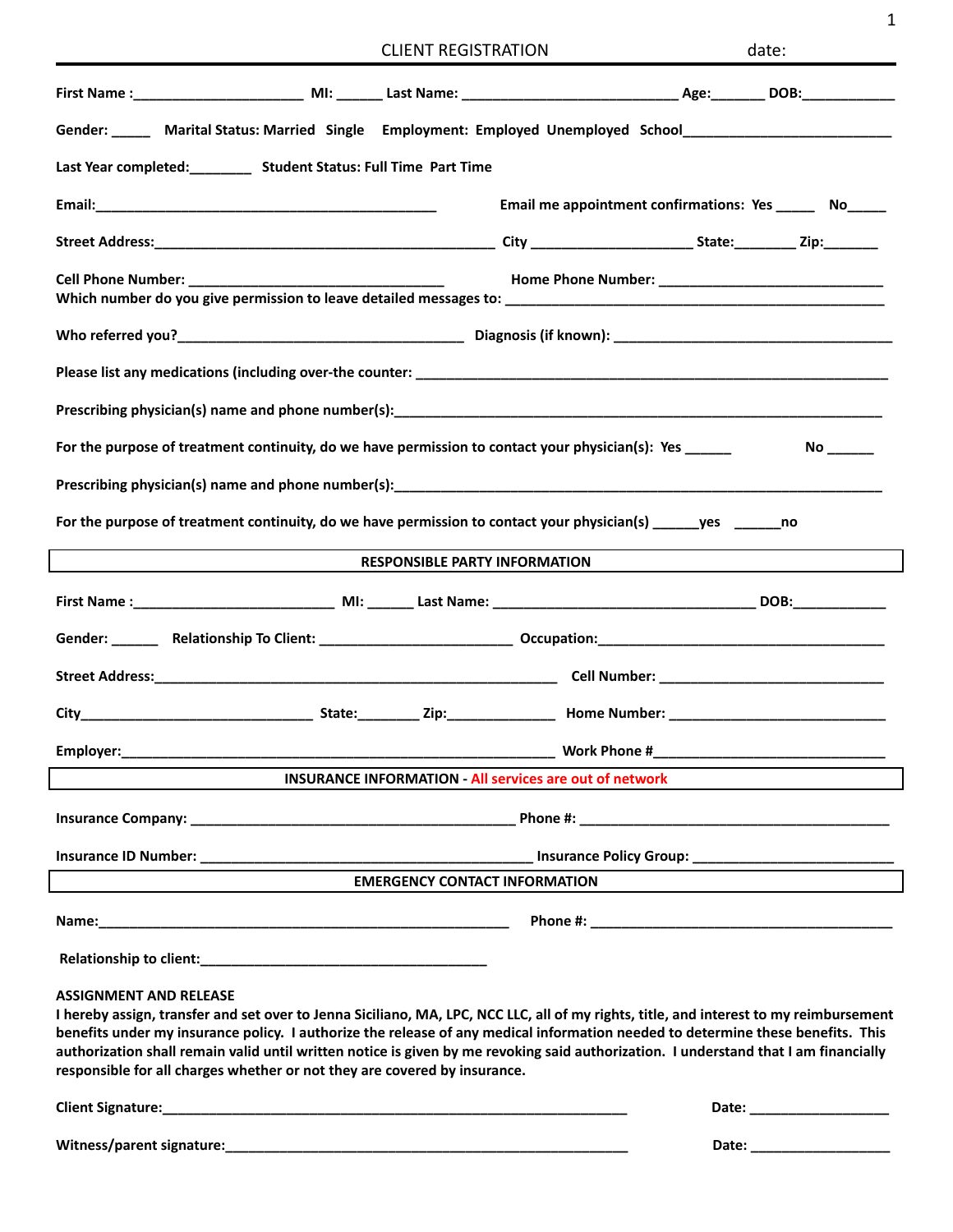|  | <b>CLIENT REGISTRATION</b> |  |
|--|----------------------------|--|
|--|----------------------------|--|

|                                                                                                                                                                                                                                                                                                                                                                                                                                                                                                                                 | <b>CLIENT REGISTRATION</b>           |                                                                | date: |
|---------------------------------------------------------------------------------------------------------------------------------------------------------------------------------------------------------------------------------------------------------------------------------------------------------------------------------------------------------------------------------------------------------------------------------------------------------------------------------------------------------------------------------|--------------------------------------|----------------------------------------------------------------|-------|
|                                                                                                                                                                                                                                                                                                                                                                                                                                                                                                                                 |                                      |                                                                |       |
| Gender: ______ Marital Status: Married Single Employment: Employed Unemployed School__________________________                                                                                                                                                                                                                                                                                                                                                                                                                  |                                      |                                                                |       |
| Last Year completed: __________ Student Status: Full Time Part Time                                                                                                                                                                                                                                                                                                                                                                                                                                                             |                                      |                                                                |       |
|                                                                                                                                                                                                                                                                                                                                                                                                                                                                                                                                 |                                      | Email me appointment confirmations: Yes ______ No_____         |       |
|                                                                                                                                                                                                                                                                                                                                                                                                                                                                                                                                 |                                      |                                                                |       |
|                                                                                                                                                                                                                                                                                                                                                                                                                                                                                                                                 |                                      |                                                                |       |
|                                                                                                                                                                                                                                                                                                                                                                                                                                                                                                                                 |                                      |                                                                |       |
|                                                                                                                                                                                                                                                                                                                                                                                                                                                                                                                                 |                                      |                                                                |       |
|                                                                                                                                                                                                                                                                                                                                                                                                                                                                                                                                 |                                      |                                                                |       |
| For the purpose of treatment continuity, do we have permission to contact your physician(s): Yes                                                                                                                                                                                                                                                                                                                                                                                                                                |                                      |                                                                |       |
|                                                                                                                                                                                                                                                                                                                                                                                                                                                                                                                                 |                                      |                                                                |       |
| For the purpose of treatment continuity, do we have permission to contact your physician(s) ______yes ________no                                                                                                                                                                                                                                                                                                                                                                                                                |                                      |                                                                |       |
| <u> 1989 - Johann Barn, fransk politik fotograf (d. 1989)</u>                                                                                                                                                                                                                                                                                                                                                                                                                                                                   | <b>RESPONSIBLE PARTY INFORMATION</b> |                                                                |       |
|                                                                                                                                                                                                                                                                                                                                                                                                                                                                                                                                 |                                      |                                                                |       |
|                                                                                                                                                                                                                                                                                                                                                                                                                                                                                                                                 |                                      |                                                                |       |
|                                                                                                                                                                                                                                                                                                                                                                                                                                                                                                                                 |                                      |                                                                |       |
|                                                                                                                                                                                                                                                                                                                                                                                                                                                                                                                                 |                                      |                                                                |       |
| Employer:                                                                                                                                                                                                                                                                                                                                                                                                                                                                                                                       |                                      | Work Phone #                                                   |       |
|                                                                                                                                                                                                                                                                                                                                                                                                                                                                                                                                 |                                      | <b>INSURANCE INFORMATION - All services are out of network</b> |       |
|                                                                                                                                                                                                                                                                                                                                                                                                                                                                                                                                 |                                      |                                                                |       |
|                                                                                                                                                                                                                                                                                                                                                                                                                                                                                                                                 |                                      |                                                                |       |
|                                                                                                                                                                                                                                                                                                                                                                                                                                                                                                                                 | <b>EMERGENCY CONTACT INFORMATION</b> |                                                                |       |
|                                                                                                                                                                                                                                                                                                                                                                                                                                                                                                                                 |                                      |                                                                |       |
|                                                                                                                                                                                                                                                                                                                                                                                                                                                                                                                                 |                                      |                                                                |       |
| <b>ASSIGNMENT AND RELEASE</b><br>I hereby assign, transfer and set over to Jenna Siciliano, MA, LPC, NCC LLC, all of my rights, title, and interest to my reimbursement<br>benefits under my insurance policy. I authorize the release of any medical information needed to determine these benefits. This<br>authorization shall remain valid until written notice is given by me revoking said authorization. I understand that I am financially<br>responsible for all charges whether or not they are covered by insurance. |                                      |                                                                |       |

| <b>Client Signature:</b> |  |
|--------------------------|--|
|                          |  |

**Witness/parent signature:\_\_\_\_\_\_\_\_\_\_\_\_\_\_\_\_\_\_\_\_\_\_\_\_\_\_\_\_\_\_\_\_\_\_\_\_\_\_\_\_\_\_\_\_\_\_\_\_\_\_\_\_ Date: \_\_\_\_\_\_\_\_\_\_\_\_\_\_\_\_\_\_**

**Client Signature:\_\_\_\_\_\_\_\_\_\_\_\_\_\_\_\_\_\_\_\_\_\_\_\_\_\_\_\_\_\_\_\_\_\_\_\_\_\_\_\_\_\_\_\_\_\_\_\_\_\_\_\_\_\_\_\_\_\_\_\_ Date: \_\_\_\_\_\_\_\_\_\_\_\_\_\_\_\_\_\_**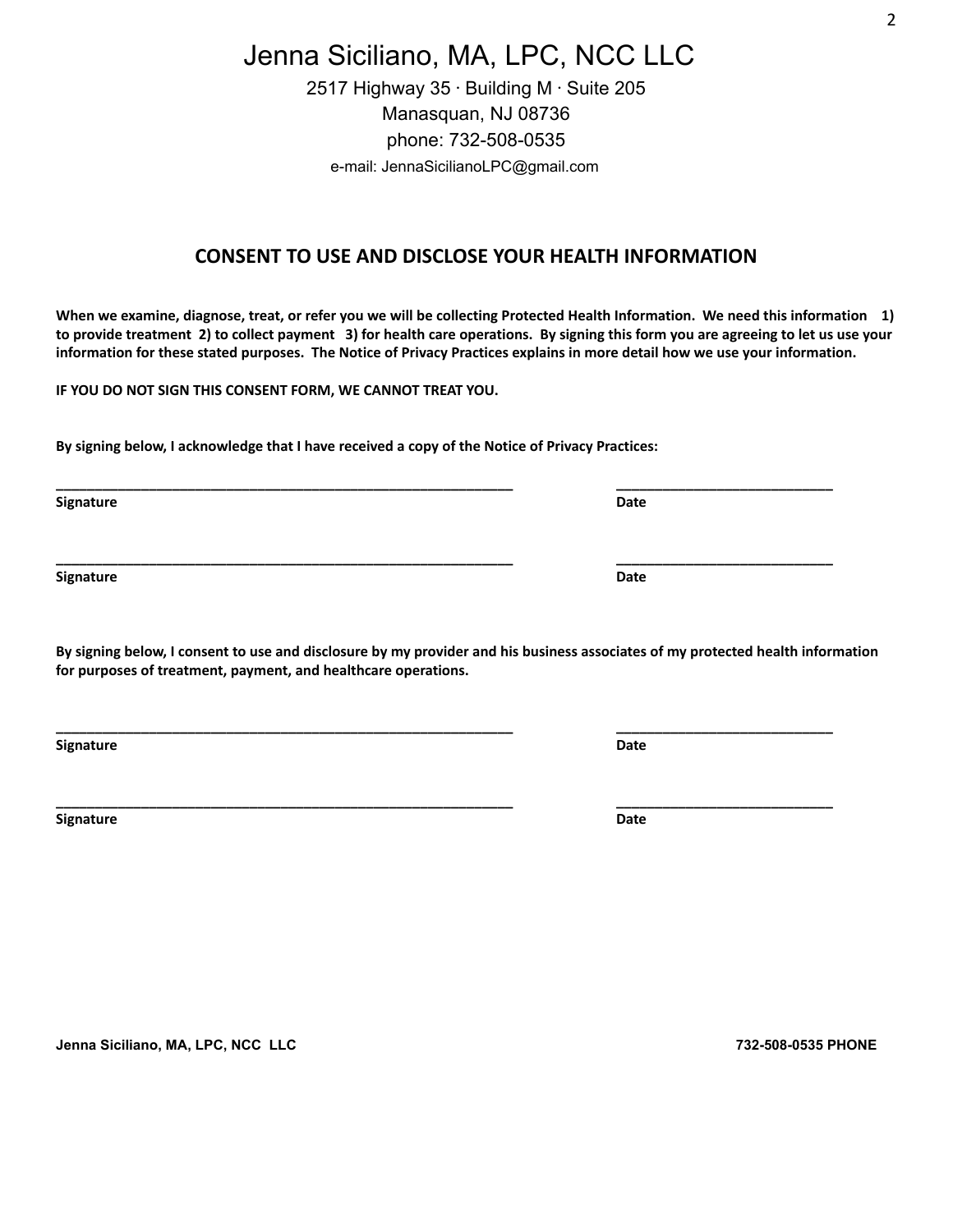Jenna Siciliano, MA, LPC, NCC LLC 2517 Highway  $35 \cdot$  Building M $\cdot$  Suite 205 Manasquan, NJ 08736 phone: 732-508-0535

e-mail: JennaSicilianoLPC@gmail.com

### **CONSENT TO USE AND DISCLOSE YOUR HEALTH INFORMATION**

When we examine, diagnose, treat, or refer you we will be collecting Protected Health Information. We need this information 1) to provide treatment 2) to collect payment 3) for health care operations. By signing this form you are agreeing to let us use your information for these stated purposes. The Notice of Privacy Practices explains in more detail how we use your information.

**IF YOU DO NOT SIGN THIS CONSENT FORM, WE CANNOT TREAT YOU.**

**By signing below, I acknowledge that I have received a copy of the Notice of Privacy Practices:**

**Signature Date**

**Signature Date**

By signing below, I consent to use and disclosure by my provider and his business associates of my protected health information **for purposes of treatment, payment, and healthcare operations.**

**\_\_\_\_\_\_\_\_\_\_\_\_\_\_\_\_\_\_\_\_\_\_\_\_\_\_\_\_\_\_\_\_\_\_\_\_\_\_\_\_\_\_\_\_\_\_\_\_\_\_\_\_\_\_\_\_\_\_\_ \_\_\_\_\_\_\_\_\_\_\_\_\_\_\_\_\_\_\_\_\_\_\_\_\_\_\_\_**

**\_\_\_\_\_\_\_\_\_\_\_\_\_\_\_\_\_\_\_\_\_\_\_\_\_\_\_\_\_\_\_\_\_\_\_\_\_\_\_\_\_\_\_\_\_\_\_\_\_\_\_\_\_\_\_\_\_\_\_ \_\_\_\_\_\_\_\_\_\_\_\_\_\_\_\_\_\_\_\_\_\_\_\_\_\_\_\_**

**\_\_\_\_\_\_\_\_\_\_\_\_\_\_\_\_\_\_\_\_\_\_\_\_\_\_\_\_\_\_\_\_\_\_\_\_\_\_\_\_\_\_\_\_\_\_\_\_\_\_\_\_\_\_\_\_\_\_\_ \_\_\_\_\_\_\_\_\_\_\_\_\_\_\_\_\_\_\_\_\_\_\_\_\_\_\_\_**

**Signature Date**

**Signature Date**

**Jenna Siciliano, MA, LPC, NCC LLC 732-508-0535 PHONE**

**\_\_\_\_\_\_\_\_\_\_\_\_\_\_\_\_\_\_\_\_\_\_\_\_\_\_\_\_\_\_\_\_\_\_\_\_\_\_\_\_\_\_\_\_\_\_\_\_\_\_\_\_\_\_\_\_\_\_\_ \_\_\_\_\_\_\_\_\_\_\_\_\_\_\_\_\_\_\_\_\_\_\_\_\_\_\_\_**

2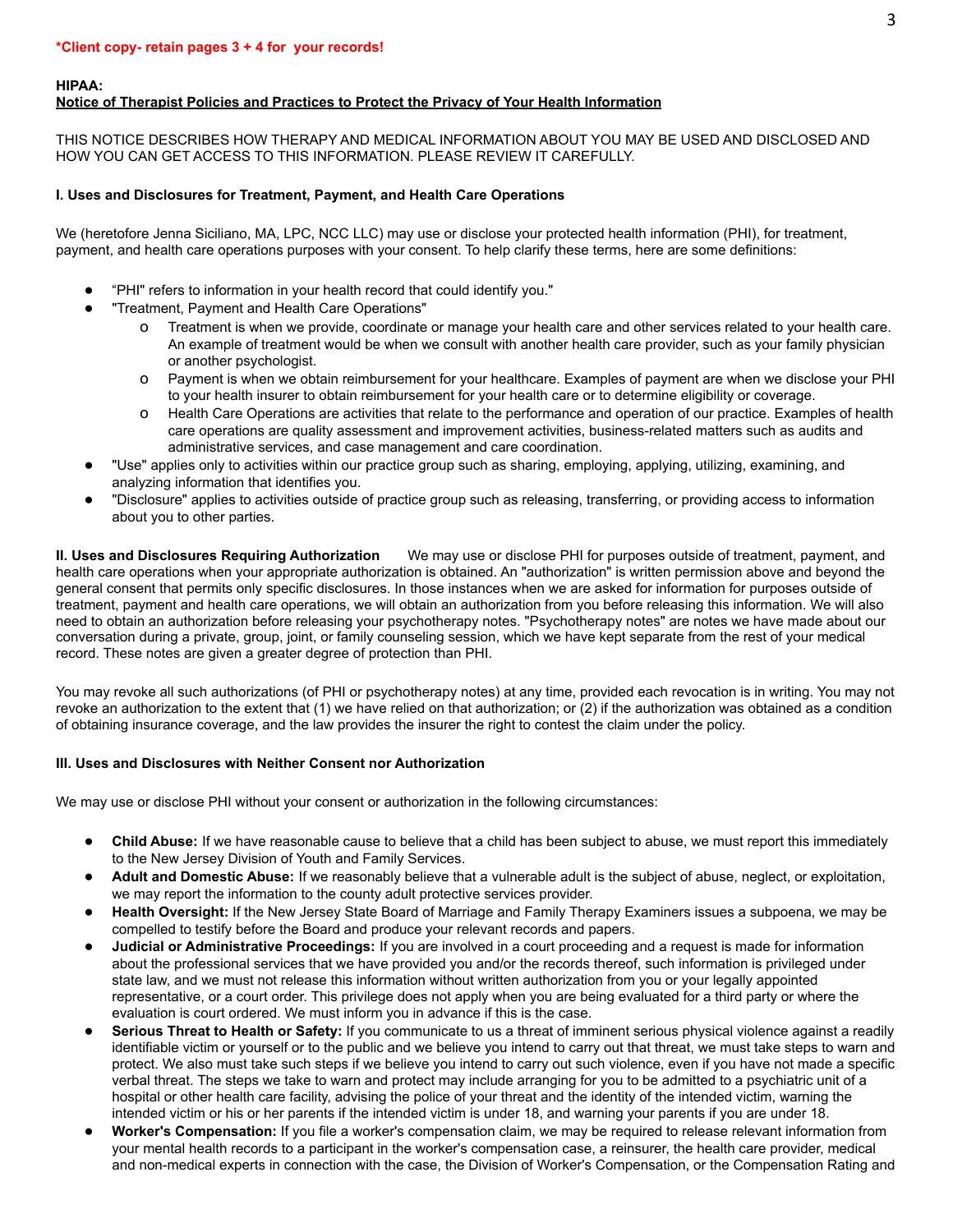**HIPAA:**

#### **Notice of Therapist Policies and Practices to Protect the Privacy of Your Health Information**

THIS NOTICE DESCRIBES HOW THERAPY AND MEDICAL INFORMATION ABOUT YOU MAY BE USED AND DISCLOSED AND HOW YOU CAN GET ACCESS TO THIS INFORMATION. PLEASE REVIEW IT CAREFULLY.

#### **I. Uses and Disclosures for Treatment, Payment, and Health Care Operations**

We (heretofore Jenna Siciliano, MA, LPC, NCC LLC) may use or disclose your protected health information (PHI), for treatment, payment, and health care operations purposes with your consent. To help clarify these terms, here are some definitions:

- "PHI" refers to information in your health record that could identify you."
- "Treatment, Payment and Health Care Operations"
	- Treatment is when we provide, coordinate or manage your health care and other services related to your health care. An example of treatment would be when we consult with another health care provider, such as your family physician or another psychologist.
	- o Payment is when we obtain reimbursement for your healthcare. Examples of payment are when we disclose your PHI to your health insurer to obtain reimbursement for your health care or to determine eligibility or coverage.
	- o Health Care Operations are activities that relate to the performance and operation of our practice. Examples of health care operations are quality assessment and improvement activities, business-related matters such as audits and administrative services, and case management and care coordination.
- "Use" applies only to activities within our practice group such as sharing, employing, applying, utilizing, examining, and analyzing information that identifies you.
- "Disclosure" applies to activities outside of practice group such as releasing, transferring, or providing access to information about you to other parties.

**II. Uses and Disclosures Requiring Authorization** We may use or disclose PHI for purposes outside of treatment, payment, and health care operations when your appropriate authorization is obtained. An "authorization" is written permission above and beyond the general consent that permits only specific disclosures. In those instances when we are asked for information for purposes outside of treatment, payment and health care operations, we will obtain an authorization from you before releasing this information. We will also need to obtain an authorization before releasing your psychotherapy notes. "Psychotherapy notes" are notes we have made about our conversation during a private, group, joint, or family counseling session, which we have kept separate from the rest of your medical record. These notes are given a greater degree of protection than PHI.

You may revoke all such authorizations (of PHI or psychotherapy notes) at any time, provided each revocation is in writing. You may not revoke an authorization to the extent that (1) we have relied on that authorization; or (2) if the authorization was obtained as a condition of obtaining insurance coverage, and the law provides the insurer the right to contest the claim under the policy.

#### **III. Uses and Disclosures with Neither Consent nor Authorization**

We may use or disclose PHI without your consent or authorization in the following circumstances:

- **Child Abuse:** If we have reasonable cause to believe that a child has been subject to abuse, we must report this immediately to the New Jersey Division of Youth and Family Services.
- Adult and Domestic Abuse: If we reasonably believe that a vulnerable adult is the subject of abuse, neglect, or exploitation, we may report the information to the county adult protective services provider.
- **Health Oversight:** If the New Jersey State Board of Marriage and Family Therapy Examiners issues a subpoena, we may be compelled to testify before the Board and produce your relevant records and papers.
- **Judicial or Administrative Proceedings:** If you are involved in a court proceeding and a request is made for information about the professional services that we have provided you and/or the records thereof, such information is privileged under state law, and we must not release this information without written authorization from you or your legally appointed representative, or a court order. This privilege does not apply when you are being evaluated for a third party or where the evaluation is court ordered. We must inform you in advance if this is the case.
- Serious Threat to Health or Safety: If you communicate to us a threat of imminent serious physical violence against a readily identifiable victim or yourself or to the public and we believe you intend to carry out that threat, we must take steps to warn and protect. We also must take such steps if we believe you intend to carry out such violence, even if you have not made a specific verbal threat. The steps we take to warn and protect may include arranging for you to be admitted to a psychiatric unit of a hospital or other health care facility, advising the police of your threat and the identity of the intended victim, warning the intended victim or his or her parents if the intended victim is under 18, and warning your parents if you are under 18.
- Worker's Compensation: If you file a worker's compensation claim, we may be required to release relevant information from your mental health records to a participant in the worker's compensation case, a reinsurer, the health care provider, medical and non-medical experts in connection with the case, the Division of Worker's Compensation, or the Compensation Rating and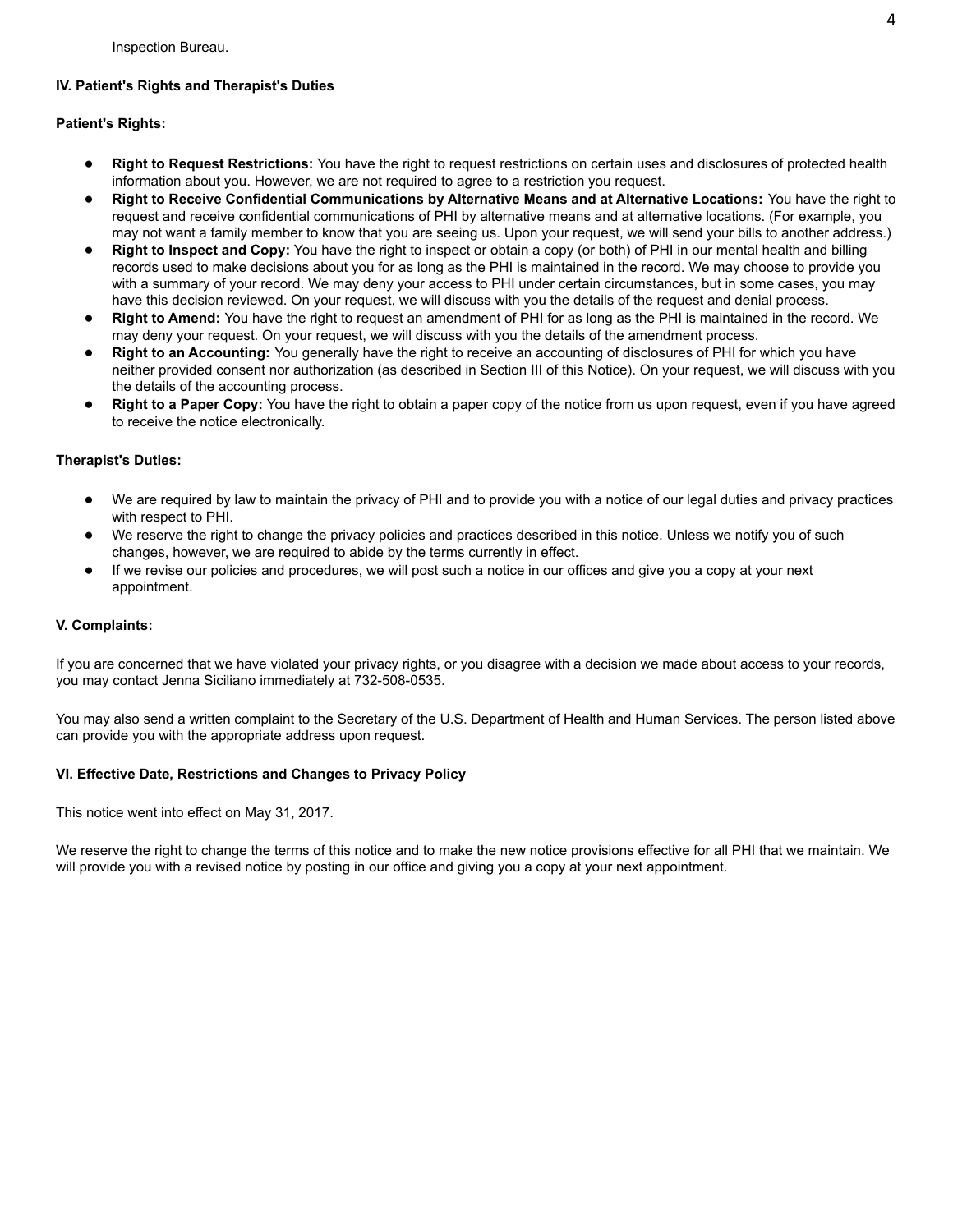#### **IV. Patient's Rights and Therapist's Duties**

#### **Patient's Rights:**

- **Right to Request Restrictions:** You have the right to request restrictions on certain uses and disclosures of protected health information about you. However, we are not required to agree to a restriction you request.
- **Right to Receive Confidential Communications by Alternative Means and at Alternative Locations:** You have the right to request and receive confidential communications of PHI by alternative means and at alternative locations. (For example, you may not want a family member to know that you are seeing us. Upon your request, we will send your bills to another address.)
- **Right to Inspect and Copy:** You have the right to inspect or obtain a copy (or both) of PHI in our mental health and billing records used to make decisions about you for as long as the PHI is maintained in the record. We may choose to provide you with a summary of your record. We may deny your access to PHI under certain circumstances, but in some cases, you may have this decision reviewed. On your request, we will discuss with you the details of the request and denial process.
- **Right to Amend:** You have the right to request an amendment of PHI for as long as the PHI is maintained in the record. We may deny your request. On your request, we will discuss with you the details of the amendment process.
- **Right to an Accounting:** You generally have the right to receive an accounting of disclosures of PHI for which you have neither provided consent nor authorization (as described in Section III of this Notice). On your request, we will discuss with you the details of the accounting process.
- **Right to a Paper Copy:** You have the right to obtain a paper copy of the notice from us upon request, even if you have agreed to receive the notice electronically.

#### **Therapist's Duties:**

- We are required by law to maintain the privacy of PHI and to provide you with a notice of our legal duties and privacy practices with respect to PHI.
- We reserve the right to change the privacy policies and practices described in this notice. Unless we notify you of such changes, however, we are required to abide by the terms currently in effect.
- If we revise our policies and procedures, we will post such a notice in our offices and give you a copy at your next appointment.

#### **V. Complaints:**

If you are concerned that we have violated your privacy rights, or you disagree with a decision we made about access to your records, you may contact Jenna Siciliano immediately at 732-508-0535.

You may also send a written complaint to the Secretary of the U.S. Department of Health and Human Services. The person listed above can provide you with the appropriate address upon request.

#### **VI. Effective Date, Restrictions and Changes to Privacy Policy**

This notice went into effect on May 31, 2017.

We reserve the right to change the terms of this notice and to make the new notice provisions effective for all PHI that we maintain. We will provide you with a revised notice by posting in our office and giving you a copy at your next appointment.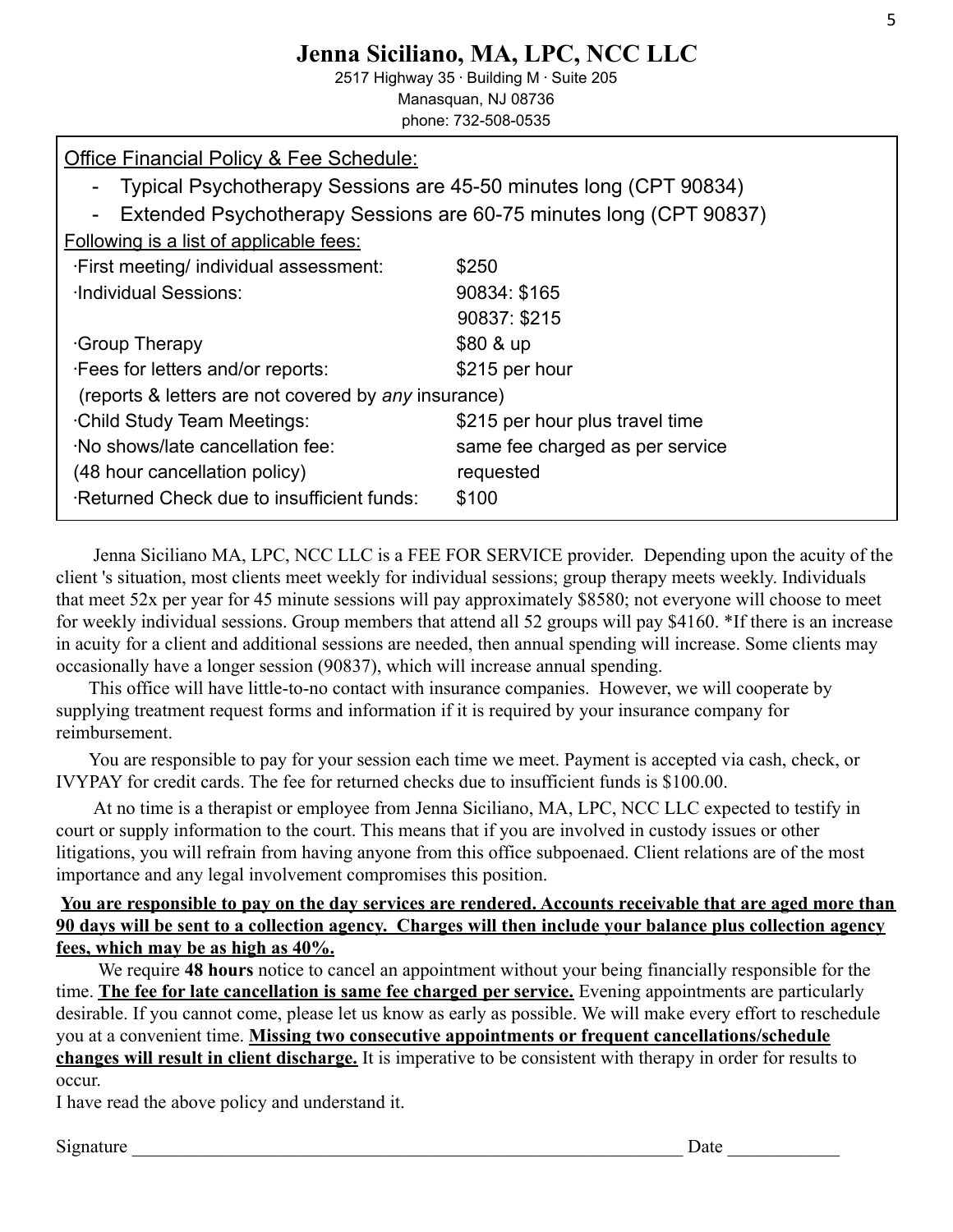# **Jenna Siciliano, MA, LPC, NCC LLC**

2517 Highway 35 · Building M · Suite 205 Manasquan, NJ 08736 phone: 732-508-0535

| Office Financial Policy & Fee Schedule:<br>Typical Psychotherapy Sessions are 45-50 minutes long (CPT 90834)<br>Extended Psychotherapy Sessions are 60-75 minutes long (CPT 90837)<br>Following is a list of applicable fees: |                                 |  |  |
|-------------------------------------------------------------------------------------------------------------------------------------------------------------------------------------------------------------------------------|---------------------------------|--|--|
| . First meeting/ individual assessment:                                                                                                                                                                                       | \$250                           |  |  |
| <b>Individual Sessions:</b>                                                                                                                                                                                                   | 90834: \$165                    |  |  |
|                                                                                                                                                                                                                               | 90837: \$215                    |  |  |
| Group Therapy                                                                                                                                                                                                                 | \$80 & up                       |  |  |
| . Fees for letters and/or reports:                                                                                                                                                                                            | \$215 per hour                  |  |  |
| (reports & letters are not covered by any insurance)                                                                                                                                                                          |                                 |  |  |
| <b>Child Study Team Meetings:</b>                                                                                                                                                                                             | \$215 per hour plus travel time |  |  |
| No shows/late cancellation fee:                                                                                                                                                                                               | same fee charged as per service |  |  |
| (48 hour cancellation policy)                                                                                                                                                                                                 | requested                       |  |  |
| Returned Check due to insufficient funds:                                                                                                                                                                                     | \$100                           |  |  |

Jenna Siciliano MA, LPC, NCC LLC is a FEE FOR SERVICE provider. Depending upon the acuity of the client 's situation, most clients meet weekly for individual sessions; group therapy meets weekly. Individuals that meet 52x per year for 45 minute sessions will pay approximately \$8580; not everyone will choose to meet for weekly individual sessions. Group members that attend all 52 groups will pay \$4160. \*If there is an increase in acuity for a client and additional sessions are needed, then annual spending will increase. Some clients may occasionally have a longer session (90837), which will increase annual spending.

This office will have little-to-no contact with insurance companies. However, we will cooperate by supplying treatment request forms and information if it is required by your insurance company for reimbursement.

You are responsible to pay for your session each time we meet. Payment is accepted via cash, check, or IVYPAY for credit cards. The fee for returned checks due to insufficient funds is \$100.00.

At no time is a therapist or employee from Jenna Siciliano, MA, LPC, NCC LLC expected to testify in court or supply information to the court. This means that if you are involved in custody issues or other litigations, you will refrain from having anyone from this office subpoenaed. Client relations are of the most importance and any legal involvement compromises this position.

## **You are responsible to pay on the day services are rendered. Accounts receivable that are aged more than 90 days will be sent to a collection agency. Charges will then include your balance plus collection agency fees, which may be as high as 40%.**

We require **48 hours** notice to cancel an appointment without your being financially responsible for the time. **The fee for late cancellation is same fee charged per service.** Evening appointments are particularly desirable. If you cannot come, please let us know as early as possible. We will make every effort to reschedule you at a convenient time. **Missing two consecutive appointments or frequent cancellations/schedule changes will result in client discharge.** It is imperative to be consistent with therapy in order for results to occur.

I have read the above policy and understand it.

Signature  $\Box$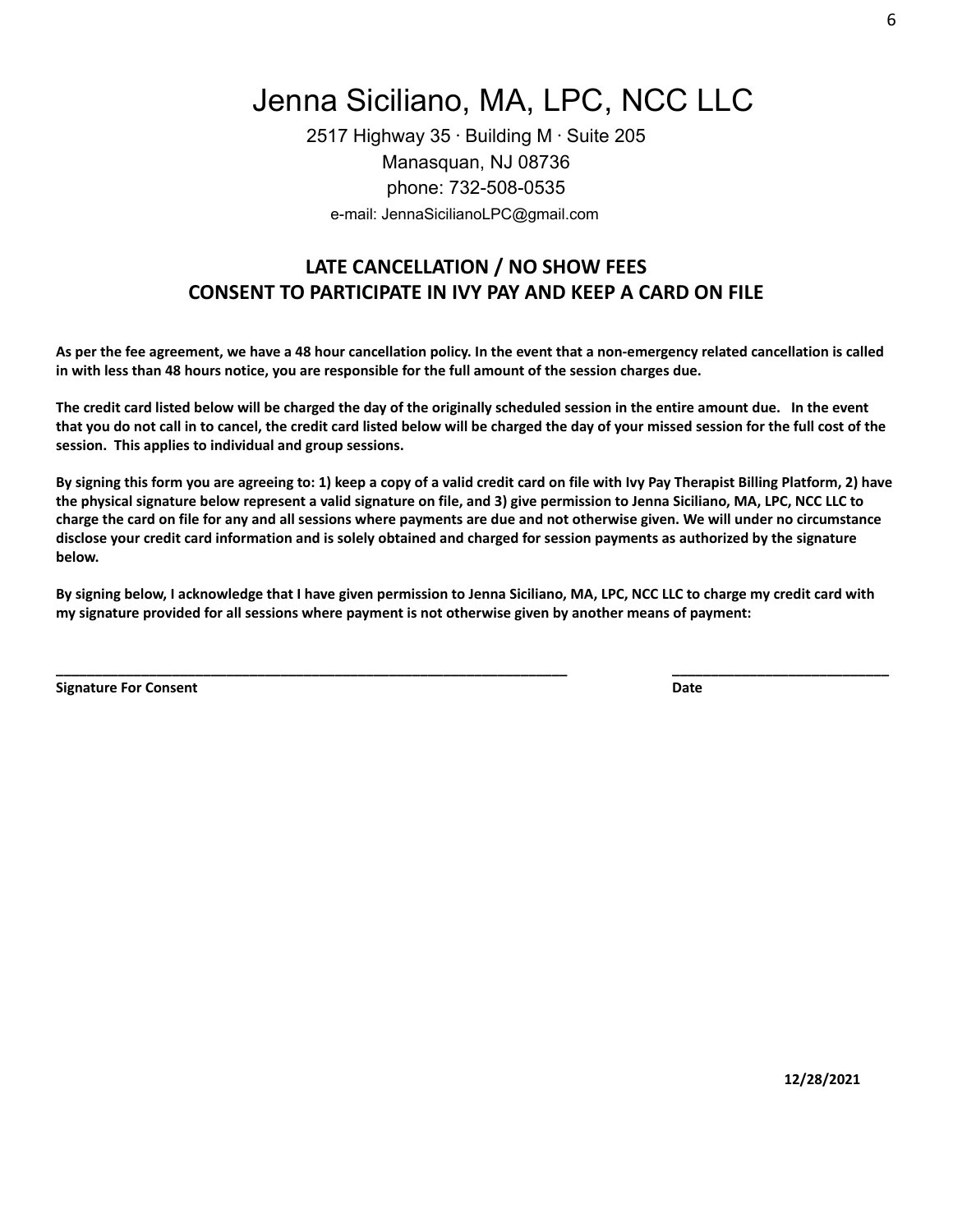Jenna Siciliano, MA, LPC, NCC LLC

2517 Highway  $35 \cdot$  Building M $\cdot$  Suite 205 Manasquan, NJ 08736 phone: 732-508-0535 e-mail: JennaSicilianoLPC@gmail.com

# **LATE CANCELLATION / NO SHOW FEES CONSENT TO PARTICIPATE IN IVY PAY AND KEEP A CARD ON FILE**

As per the fee agreement, we have a 48 hour cancellation policy. In the event that a non-emergency related cancellation is called in with less than 48 hours notice, you are responsible for the full amount of the session charges due.

The credit card listed below will be charged the day of the originally scheduled session in the entire amount due. In the event that you do not call in to cancel, the credit card listed below will be charged the day of your missed session for the full cost of the **session. This applies to individual and group sessions.**

By signing this form you are agreeing to: 1) keep a copy of a valid credit card on file with Ivy Pay Therapist Billing Platform, 2) have the physical signature below represent a valid signature on file, and 3) give permission to Jenna Siciliano, MA, LPC, NCC LLC to charge the card on file for any and all sessions where payments are due and not otherwise given. We will under no circumstance disclose your credit card information and is solely obtained and charged for session payments as authorized by the signature **below.**

By signing below, I acknowledge that I have given permission to Jenna Siciliano, MA, LPC, NCC LLC to charge my credit card with **my signature provided for all sessions where payment is not otherwise given by another means of payment:**

**\_\_\_\_\_\_\_\_\_\_\_\_\_\_\_\_\_\_\_\_\_\_\_\_\_\_\_\_\_\_\_\_\_\_\_\_\_\_\_\_\_\_\_\_\_\_\_\_\_\_\_\_\_\_\_\_\_\_\_\_\_\_\_\_\_\_ \_\_\_\_\_\_\_\_\_\_\_\_\_\_\_\_\_\_\_\_\_\_\_\_\_\_\_\_**

**Signature For Consent Date**

**12/28/2021**